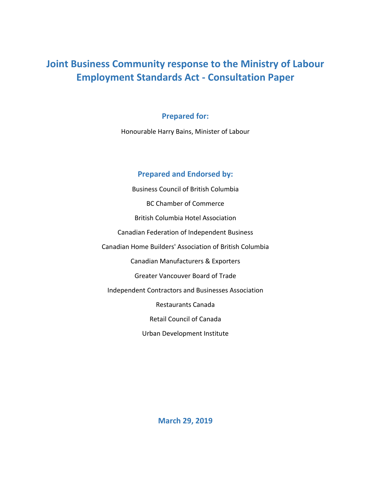# **Joint Business Community response to the Ministry of Labour Employment Standards Act - Consultation Paper**

# **Prepared for:**

Honourable Harry Bains, Minister of Labour

# **Prepared and Endorsed by:**

Business Council of British Columbia BC Chamber of Commerce British Columbia Hotel Association Canadian Federation of Independent Business Canadian Home Builders' Association of British Columbia Canadian Manufacturers & Exporters Greater Vancouver Board of Trade Independent Contractors and Businesses Association Restaurants Canada Retail Council of Canada

Urban Development Institute

**March 29, 2019**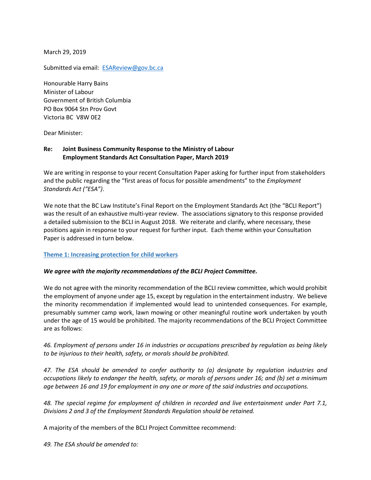March 29, 2019

Submitted via email: [ESAReview@gov.bc.ca](mailto:ESAReview@gov.bc.ca)

Honourable Harry Bains Minister of Labour Government of British Columbia PO Box 9064 Stn Prov Govt Victoria BC V8W 0E2

Dear Minister:

# **Re: Joint Business Community Response to the Ministry of Labour Employment Standards Act Consultation Paper, March 2019**

We are writing in response to your recent Consultation Paper asking for further input from stakeholders and the public regarding the "first areas of focus for possible amendments" to the *Employment Standards Act ("ESA")*.

We note that the BC Law Institute's Final Report on the Employment Standards Act (the "BCLI Report") was the result of an exhaustive multi-year review. The associations signatory to this response provided a detailed submission to the BCLI in August 2018. We reiterate and clarify, where necessary, these positions again in response to your request for further input. Each theme within your Consultation Paper is addressed in turn below.

## **Theme 1: Increasing protection for child workers**

## *We agree with the majority recommendations of the BCLI Project Committee.*

We do not agree with the minority recommendation of the BCLI review committee, which would prohibit the employment of anyone under age 15, except by regulation in the entertainment industry. We believe the minority recommendation if implemented would lead to unintended consequences. For example, presumably summer camp work, lawn mowing or other meaningful routine work undertaken by youth under the age of 15 would be prohibited. The majority recommendations of the BCLI Project Committee are as follows:

*46. Employment of persons under 16 in industries or occupations prescribed by regulation as being likely to be injurious to their health, safety, or morals should be prohibited.* 

*47. The ESA should be amended to confer authority to (a) designate by regulation industries and occupations likely to endanger the health, safety, or morals of persons under 16; and (b) set a minimum age between 16 and 19 for employment in any one or more of the said industries and occupations.* 

*48. The special regime for employment of children in recorded and live entertainment under Part 7.1, Divisions 2 and 3 of the Employment Standards Regulation should be retained.* 

A majority of the members of the BCLI Project Committee recommend:

*49. The ESA should be amended to:*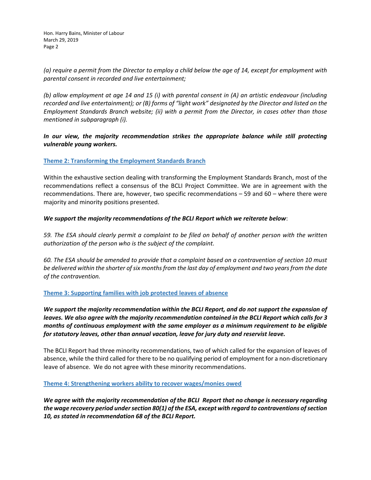*(a) require a permit from the Director to employ a child below the age of 14, except for employment with parental consent in recorded and live entertainment;* 

*(b) allow employment at age 14 and 15 (i) with parental consent in (A) an artistic endeavour (including recorded and live entertainment); or (B) forms of "light work" designated by the Director and listed on the Employment Standards Branch website; (ii) with a permit from the Director, in cases other than those mentioned in subparagraph (i).*

*In our view, the majority recommendation strikes the appropriate balance while still protecting vulnerable young workers.*

# **Theme 2: Transforming the Employment Standards Branch**

Within the exhaustive section dealing with transforming the Employment Standards Branch, most of the recommendations reflect a consensus of the BCLI Project Committee. We are in agreement with the recommendations. There are, however, two specific recommendations – 59 and 60 – where there were majority and minority positions presented.

# *We support the majority recommendations of the BCLI Report which we reiterate below*:

*59. The ESA should clearly permit a complaint to be filed on behalf of another person with the written authorization of the person who is the subject of the complaint.*

*60. The ESA should be amended to provide that a complaint based on a contravention of section 10 must be delivered within the shorter of six months from the last day of employment and two years from the date of the contravention.*

## **Theme 3: Supporting families with job protected leaves of absence**

*We support the majority recommendation within the BCLI Report, and do not support the expansion of leaves. We also agree with the majority recommendation contained in the BCLI Report which calls for 3 months of continuous employment with the same employer as a minimum requirement to be eligible for statutory leaves, other than annual vacation, leave for jury duty and reservist leave.*

The BCLI Report had three minority recommendations, two of which called for the expansion of leaves of absence, while the third called for there to be no qualifying period of employment for a non-discretionary leave of absence. We do not agree with these minority recommendations.

## **Theme 4: Strengthening workers ability to recover wages/monies owed**

*We agree with the majority recommendation of the BCLI Report that no change is necessary regarding the wage recovery period under section 80(1) of the ESA, except with regard to contraventions of section 10, as stated in recommendation 68 of the BCLI Report.*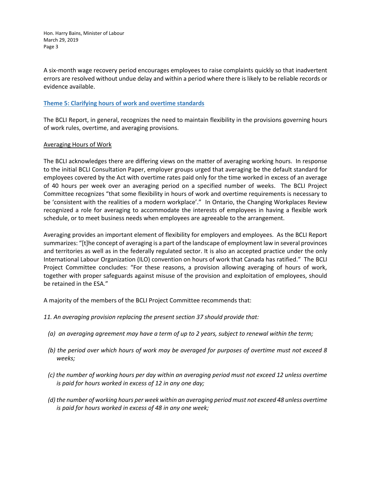A six-month wage recovery period encourages employees to raise complaints quickly so that inadvertent errors are resolved without undue delay and within a period where there is likely to be reliable records or evidence available.

# **Theme 5: Clarifying hours of work and overtime standards**

The BCLI Report, in general, recognizes the need to maintain flexibility in the provisions governing hours of work rules, overtime, and averaging provisions.

# Averaging Hours of Work

The BCLI acknowledges there are differing views on the matter of averaging working hours. In response to the initial BCLI Consultation Paper, employer groups urged that averaging be the default standard for employees covered by the Act with overtime rates paid only for the time worked in excess of an average of 40 hours per week over an averaging period on a specified number of weeks. The BCLI Project Committee recognizes "that some flexibility in hours of work and overtime requirements is necessary to be 'consistent with the realities of a modern workplace'." In Ontario, the Changing Workplaces Review recognized a role for averaging to accommodate the interests of employees in having a flexible work schedule, or to meet business needs when employees are agreeable to the arrangement.

Averaging provides an important element of flexibility for employers and employees. As the BCLI Report summarizes: "[t]he concept of averaging is a part of the landscape of employment law in several provinces and territories as well as in the federally regulated sector. It is also an accepted practice under the only International Labour Organization (ILO) convention on hours of work that Canada has ratified." The BCLI Project Committee concludes: "For these reasons, a provision allowing averaging of hours of work, together with proper safeguards against misuse of the provision and exploitation of employees, should be retained in the ESA."

A majority of the members of the BCLI Project Committee recommends that:

- *11. An averaging provision replacing the present section 37 should provide that:*
	- *(a) an averaging agreement may have a term of up to 2 years, subject to renewal within the term;*
	- *(b) the period over which hours of work may be averaged for purposes of overtime must not exceed 8 weeks;*
	- *(c) the number of working hours per day within an averaging period must not exceed 12 unless overtime is paid for hours worked in excess of 12 in any one day;*
	- *(d) the number of working hours per week within an averaging period must not exceed 48 unless overtime is paid for hours worked in excess of 48 in any one week;*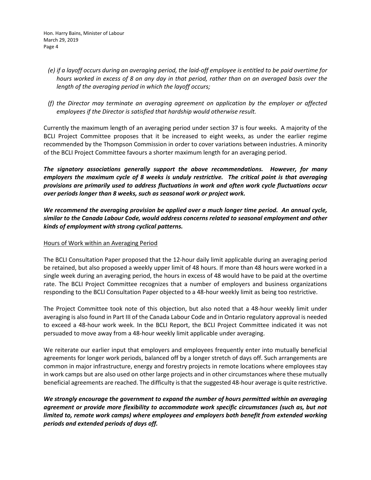- *(e) if a layoff occurs during an averaging period, the laid-off employee is entitled to be paid overtime for hours worked in excess of 8 on any day in that period, rather than on an averaged basis over the length of the averaging period in which the layoff occurs;*
- *(f) the Director may terminate an averaging agreement on application by the employer or affected employees if the Director is satisfied that hardship would otherwise result.*

Currently the maximum length of an averaging period under section 37 is four weeks. A majority of the BCLI Project Committee proposes that it be increased to eight weeks, as under the earlier regime recommended by the Thompson Commission in order to cover variations between industries. A minority of the BCLI Project Committee favours a shorter maximum length for an averaging period.

*The signatory associations generally support the above recommendations. However, for many employers the maximum cycle of 8 weeks is unduly restrictive. The critical point is that averaging provisions are primarily used to address fluctuations in work and often work cycle fluctuations occur over periods longer than 8 weeks, such as seasonal work or project work.* 

*We recommend the averaging provision be applied over a much longer time period. An annual cycle, similar to the Canada Labour Code, would address concerns related to seasonal employment and other kinds of employment with strong cyclical patterns.*

# Hours of Work within an Averaging Period

The BCLI Consultation Paper proposed that the 12-hour daily limit applicable during an averaging period be retained, but also proposed a weekly upper limit of 48 hours. If more than 48 hours were worked in a single week during an averaging period, the hours in excess of 48 would have to be paid at the overtime rate. The BCLI Project Committee recognizes that a number of employers and business organizations responding to the BCLI Consultation Paper objected to a 48-hour weekly limit as being too restrictive.

The Project Committee took note of this objection, but also noted that a 48-hour weekly limit under averaging is also found in Part III of the Canada Labour Code and in Ontario regulatory approval is needed to exceed a 48-hour work week. In the BCLI Report, the BCLI Project Committee indicated it was not persuaded to move away from a 48-hour weekly limit applicable under averaging.

We reiterate our earlier input that employers and employees frequently enter into mutually beneficial agreements for longer work periods, balanced off by a longer stretch of days off. Such arrangements are common in major infrastructure, energy and forestry projects in remote locations where employees stay in work camps but are also used on other large projects and in other circumstances where these mutually beneficial agreements are reached. The difficulty is that the suggested 48-hour average is quite restrictive.

*We strongly encourage the government to expand the number of hours permitted within an averaging agreement or provide more flexibility to accommodate work specific circumstances (such as, but not limited to, remote work camps) where employees and employers both benefit from extended working periods and extended periods of days off.*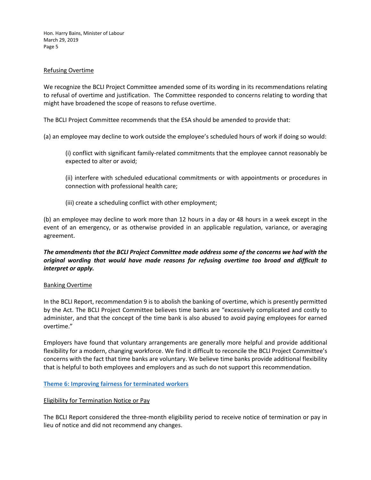# Refusing Overtime

We recognize the BCLI Project Committee amended some of its wording in its recommendations relating to refusal of overtime and justification. The Committee responded to concerns relating to wording that might have broadened the scope of reasons to refuse overtime.

The BCLI Project Committee recommends that the ESA should be amended to provide that:

- (a) an employee may decline to work outside the employee's scheduled hours of work if doing so would:
	- (i) conflict with significant family-related commitments that the employee cannot reasonably be expected to alter or avoid;
	- (ii) interfere with scheduled educational commitments or with appointments or procedures in connection with professional health care;
	- (iii) create a scheduling conflict with other employment;

(b) an employee may decline to work more than 12 hours in a day or 48 hours in a week except in the event of an emergency, or as otherwise provided in an applicable regulation, variance, or averaging agreement.

# *The amendments that the BCLI Project Committee made address some of the concerns we had with the original wording that would have made reasons for refusing overtime too broad and difficult to interpret or apply.*

## Banking Overtime

In the BCLI Report, recommendation 9 is to abolish the banking of overtime, which is presently permitted by the Act. The BCLI Project Committee believes time banks are "excessively complicated and costly to administer, and that the concept of the time bank is also abused to avoid paying employees for earned overtime."

Employers have found that voluntary arrangements are generally more helpful and provide additional flexibility for a modern, changing workforce. We find it difficult to reconcile the BCLI Project Committee's concerns with the fact that time banks are voluntary. We believe time banks provide additional flexibility that is helpful to both employees and employers and as such do not support this recommendation.

**Theme 6: Improving fairness for terminated workers**

## Eligibility for Termination Notice or Pay

The BCLI Report considered the three-month eligibility period to receive notice of termination or pay in lieu of notice and did not recommend any changes.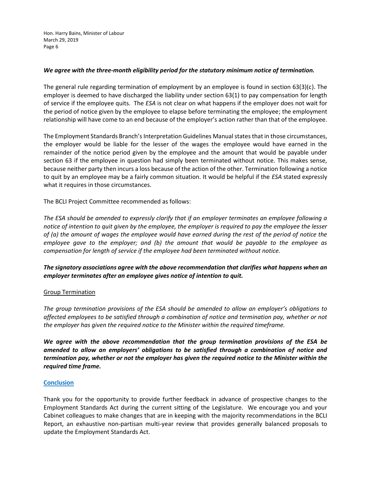# *We agree with the three-month eligibility period for the statutory minimum notice of termination.*

The general rule regarding termination of employment by an employee is found in section 63(3)(c). The employer is deemed to have discharged the liability under section 63(1) to pay compensation for length of service if the employee quits. The *ESA* is not clear on what happens if the employer does not wait for the period of notice given by the employee to elapse before terminating the employee; the employment relationship will have come to an end because of the employer's action rather than that of the employee.

The Employment Standards Branch's Interpretation Guidelines Manual states that in those circumstances, the employer would be liable for the lesser of the wages the employee would have earned in the remainder of the notice period given by the employee and the amount that would be payable under section 63 if the employee in question had simply been terminated without notice. This makes sense, because neither party then incurs a loss because of the action of the other. Termination following a notice to quit by an employee may be a fairly common situation. It would be helpful if the *ESA* stated expressly what it requires in those circumstances.

The BCLI Project Committee recommended as follows:

*The ESA should be amended to expressly clarify that if an employer terminates an employee following a notice of intention to quit given by the employee, the employer is required to pay the employee the lesser of (a) the amount of wages the employee would have earned during the rest of the period of notice the employee gave to the employer; and (b) the amount that would be payable to the employee as compensation for length of service if the employee had been terminated without notice.*

*The signatory associations agree with the above recommendation that clarifies what happens when an employer terminates after an employee gives notice of intention to quit.*

## Group Termination

*The group termination provisions of the ESA should be amended to allow an employer's obligations to affected employees to be satisfied through a combination of notice and termination pay, whether or not the employer has given the required notice to the Minister within the required timeframe.*

*We agree with the above recommendation that the group termination provisions of the ESA be amended to allow an employers' obligations to be satisfied through a combination of notice and termination pay, whether or not the employer has given the required notice to the Minister within the required time frame.*

## **Conclusion**

Thank you for the opportunity to provide further feedback in advance of prospective changes to the Employment Standards Act during the current sitting of the Legislature. We encourage you and your Cabinet colleagues to make changes that are in keeping with the majority recommendations in the BCLI Report, an exhaustive non-partisan multi-year review that provides generally balanced proposals to update the Employment Standards Act.